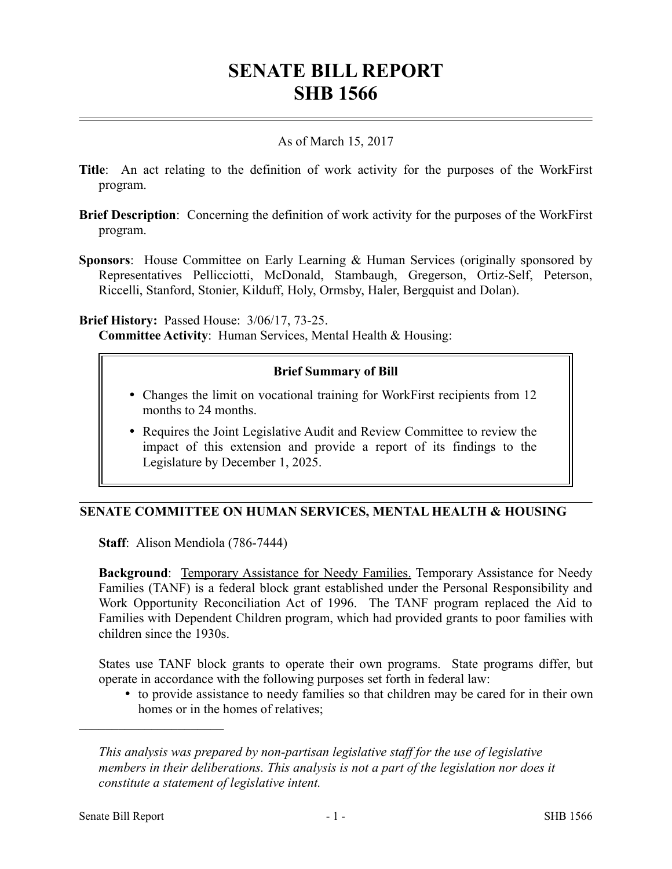# **SENATE BILL REPORT SHB 1566**

## As of March 15, 2017

- **Title**: An act relating to the definition of work activity for the purposes of the WorkFirst program.
- **Brief Description**: Concerning the definition of work activity for the purposes of the WorkFirst program.
- **Sponsors**: House Committee on Early Learning & Human Services (originally sponsored by Representatives Pellicciotti, McDonald, Stambaugh, Gregerson, Ortiz-Self, Peterson, Riccelli, Stanford, Stonier, Kilduff, Holy, Ormsby, Haler, Bergquist and Dolan).

**Brief History:** Passed House: 3/06/17, 73-25.

**Committee Activity**: Human Services, Mental Health & Housing:

## **Brief Summary of Bill**

- Changes the limit on vocational training for WorkFirst recipients from 12 months to 24 months.
- Requires the Joint Legislative Audit and Review Committee to review the impact of this extension and provide a report of its findings to the Legislature by December 1, 2025.

## **SENATE COMMITTEE ON HUMAN SERVICES, MENTAL HEALTH & HOUSING**

**Staff**: Alison Mendiola (786-7444)

**Background:** Temporary Assistance for Needy Families. Temporary Assistance for Needy Families (TANF) is a federal block grant established under the Personal Responsibility and Work Opportunity Reconciliation Act of 1996. The TANF program replaced the Aid to Families with Dependent Children program, which had provided grants to poor families with children since the 1930s.

States use TANF block grants to operate their own programs. State programs differ, but operate in accordance with the following purposes set forth in federal law:

 to provide assistance to needy families so that children may be cared for in their own homes or in the homes of relatives;

––––––––––––––––––––––

*This analysis was prepared by non-partisan legislative staff for the use of legislative members in their deliberations. This analysis is not a part of the legislation nor does it constitute a statement of legislative intent.*